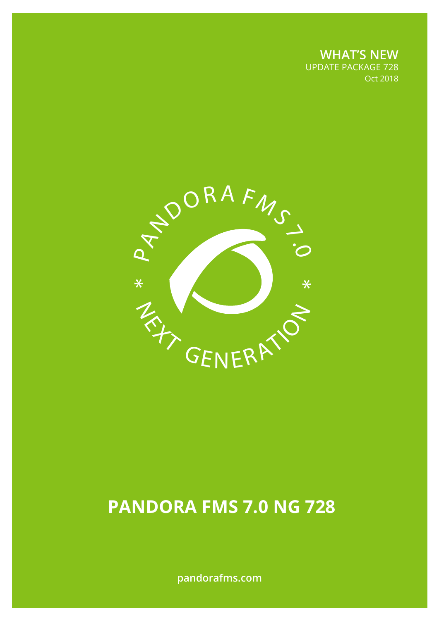**WHAT'S NEW** UPDATE PACKAGE 728 Oct 2018



# **PANDORA FMS 7.0 NG 728**

**pandorafms.com**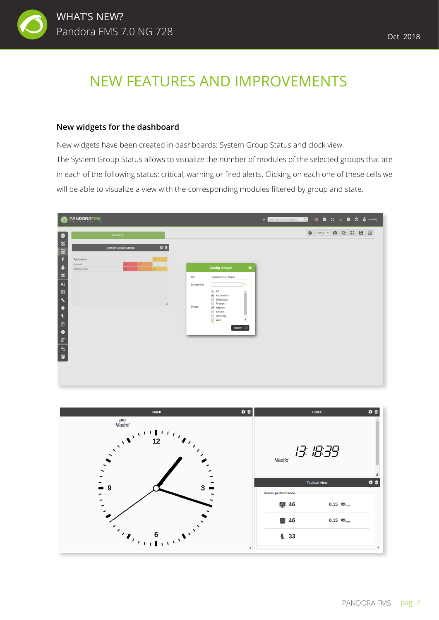

#### **New widgets for the dashboard**

New widgets have been created in dashboards: System Group Status and clock view. The System Group Status allows to visualize the number of modules of the selected groups that are in each of the following status: critical, warning or fired alerts. Clicking on each one of these cells we will be able to visualize a view with the corresponding modules filtered by group and state.



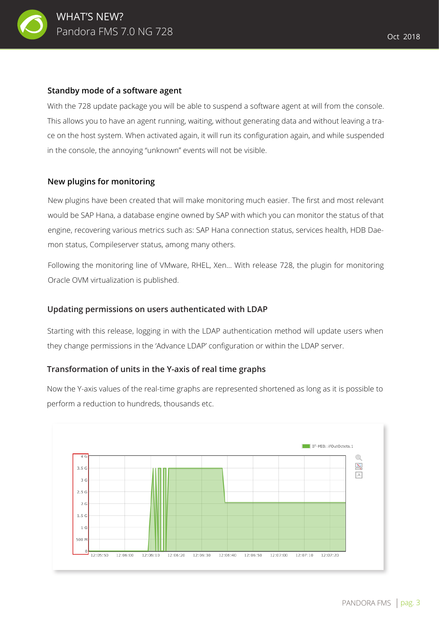

#### **Standby mode of a software agent**

With the 728 update package you will be able to suspend a software agent at will from the console. This allows you to have an agent running, waiting, without generating data and without leaving a trace on the host system. When activated again, it will run its configuration again, and while suspended in the console, the annoying "unknown" events will not be visible.

#### **New plugins for monitoring**

New plugins have been created that will make monitoring much easier. The first and most relevant would be SAP Hana, a database engine owned by SAP with which you can monitor the status of that engine, recovering various metrics such as: SAP Hana connection status, services health, HDB Daemon status, Compileserver status, among many others.

Following the monitoring line of VMware, RHEL, Xen... With release 728, the plugin for monitoring Oracle OVM virtualization is published.

#### **Updating permissions on users authenticated with LDAP**

Starting with this release, logging in with the LDAP authentication method will update users when they change permissions in the 'Advance LDAP' configuration or within the LDAP server.

#### **Transformation of units in the Y-axis of real time graphs**

Now the Y-axis values of the real-time graphs are represented shortened as long as it is possible to perform a reduction to hundreds, thousands etc.